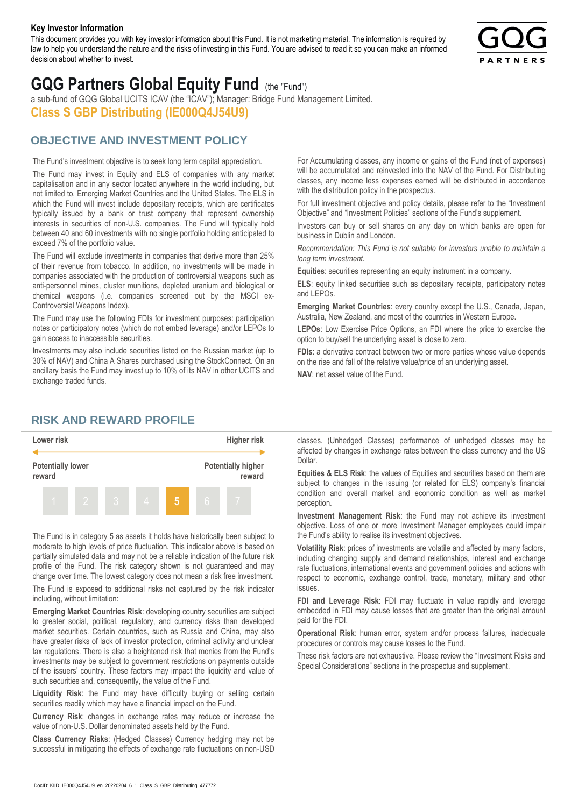#### **Key Investor Information**

This document provides you with key investor information about this Fund. It is not marketing material. The information is required by law to help you understand the nature and the risks of investing in this Fund. You are advised to read it so you can make an informed decision about whether to invest.



# **GQG Partners Global Equity Fund** (the "Fund")

a sub-fund of GQG Global UCITS ICAV (the "ICAV"); Manager: Bridge Fund Management Limited. **Class S GBP Distributing (IE000Q4J54U9)**

## **OBJECTIVE AND INVESTMENT POLICY**

The Fund's investment objective is to seek long term capital appreciation. The Fund may invest in Equity and ELS of companies with any market capitalisation and in any sector located anywhere in the world including, but not limited to, Emerging Market Countries and the United States. The ELS in which the Fund will invest include depositary receipts, which are certificates typically issued by a bank or trust company that represent ownership interests in securities of non-U.S. companies. The Fund will typically hold between 40 and 60 investments with no single portfolio holding anticipated to exceed 7% of the portfolio value.

The Fund will exclude investments in companies that derive more than 25% of their revenue from tobacco. In addition, no investments will be made in companies associated with the production of controversial weapons such as anti-personnel mines, cluster munitions, depleted uranium and biological or chemical weapons (i.e. companies screened out by the MSCI ex-Controversial Weapons Index).

The Fund may use the following FDIs for investment purposes: participation notes or participatory notes (which do not embed leverage) and/or LEPOs to gain access to inaccessible securities.

Investments may also include securities listed on the Russian market (up to 30% of NAV) and China A Shares purchased using the StockConnect. On an ancillary basis the Fund may invest up to 10% of its NAV in other UCITS and exchange traded funds.

For Accumulating classes, any income or gains of the Fund (net of expenses) will be accumulated and reinvested into the NAV of the Fund. For Distributing classes, any income less expenses earned will be distributed in accordance with the distribution policy in the prospectus.

For full investment objective and policy details, please refer to the "Investment Objective" and "Investment Policies" sections of the Fund's supplement.

Investors can buy or sell shares on any day on which banks are open for business in Dublin and London.

*Recommendation: This Fund is not suitable for investors unable to maintain a long term investment.*

**Equities**: securities representing an equity instrument in a company.

**ELS**: equity linked securities such as depositary receipts, participatory notes and LEPOs.

**Emerging Market Countries**: every country except the U.S., Canada, Japan, Australia, New Zealand, and most of the countries in Western Europe.

**LEPOs**: Low Exercise Price Options, an FDI where the price to exercise the option to buy/sell the underlying asset is close to zero.

**FDIs**: a derivative contract between two or more parties whose value depends on the rise and fall of the relative value/price of an underlying asset.

**NAV**: net asset value of the Fund.

### **RISK AND REWARD PROFILE**



The Fund is in category 5 as assets it holds have historically been subject to moderate to high levels of price fluctuation. This indicator above is based on partially simulated data and may not be a reliable indication of the future risk profile of the Fund. The risk category shown is not guaranteed and may change over time. The lowest category does not mean a risk free investment.

The Fund is exposed to additional risks not captured by the risk indicator including, without limitation:

**Emerging Market Countries Risk**: developing country securities are subject to greater social, political, regulatory, and currency risks than developed market securities. Certain countries, such as Russia and China, may also have greater risks of lack of investor protection, criminal activity and unclear tax regulations. There is also a heightened risk that monies from the Fund's investments may be subject to government restrictions on payments outside of the issuers' country. These factors may impact the liquidity and value of such securities and, consequently, the value of the Fund.

**Liquidity Risk**: the Fund may have difficulty buying or selling certain securities readily which may have a financial impact on the Fund.

**Currency Risk**: changes in exchange rates may reduce or increase the value of non-U.S. Dollar denominated assets held by the Fund.

**Class Currency Risks**: (Hedged Classes) Currency hedging may not be successful in mitigating the effects of exchange rate fluctuations on non-USD classes. (Unhedged Classes) performance of unhedged classes may be affected by changes in exchange rates between the class currency and the US Dollar.

**Equities & ELS Risk**: the values of Equities and securities based on them are subject to changes in the issuing (or related for ELS) company's financial condition and overall market and economic condition as well as market perception.

**Investment Management Risk**: the Fund may not achieve its investment objective. Loss of one or more Investment Manager employees could impair the Fund's ability to realise its investment objectives.

**Volatility Risk**: prices of investments are volatile and affected by many factors, including changing supply and demand relationships, interest and exchange rate fluctuations, international events and government policies and actions with respect to economic, exchange control, trade, monetary, military and other issues.

**FDI and Leverage Risk**: FDI may fluctuate in value rapidly and leverage embedded in FDI may cause losses that are greater than the original amount paid for the FDI.

**Operational Risk**: human error, system and/or process failures, inadequate procedures or controls may cause losses to the Fund.

These risk factors are not exhaustive. Please review the "Investment Risks and Special Considerations" sections in the prospectus and supplement.